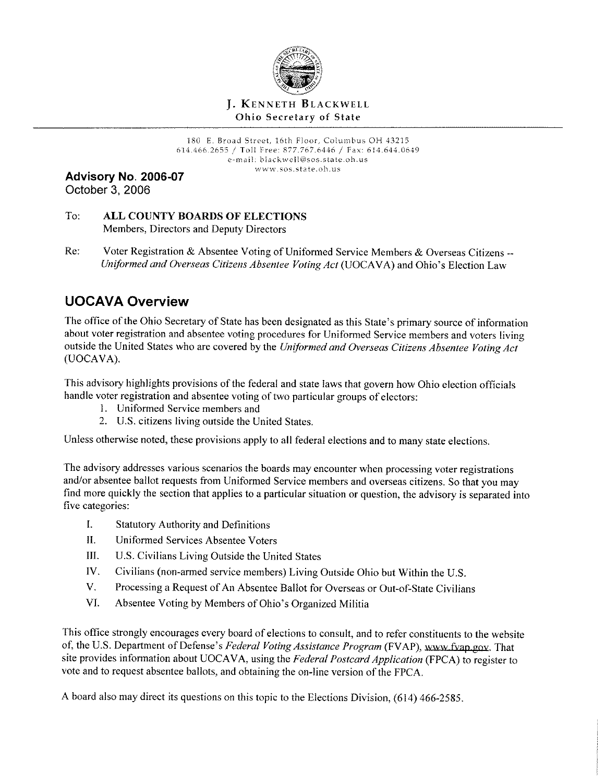

## **J.** KENNETH BLACKWELL Ohio Secretary of State

180 E. Broad Street, 16th Floor, Columbus OH 43215 614.466.2655 / Toll Free: 877.767.6446 / Fax: 614.644.0649 e-mail: black \Ve Il@sos .state .oh. us www.sos.state.oh.us

**Advisory No. 2006-07**  October 3, 2006

- To: **ALL COUNTY BOARDS OF ELECTIONS**  Members, Directors and Deputy Directors
- Re: Voter Registration & Absentee Voting of Uniformed Service Members & Overseas Citizens --*Uniformed and Overseas Citizens Absentee Voting Act* (UOCAVA) and Ohio's Election Law

# **UOCAVA Overview**

The office of the Ohio Secretary of State has been designated as this State's primary source of information about voter registration and absentee voting procedures for Uniformed Service members and voters living outside the United States who are covered by the *Uniformed and Overseas Citizens Absentee Voting Act*  (UOCAVA).

This advisory highlights provisions of the federal and state laws that govern how Ohio election officials handle voter registration and absentee voting of two particular groups of electors:

- I. Uniformed Service members and
- 2. U.S. citizens living outside the United States.

Unless otherwise noted, these provisions apply to all federal elections and to many state elections.

The advisory addresses various scenarios the boards may encounter when processing voter registrations and/or absentee ballot requests from Uniformed Service members and overseas citizens. So that you may find more quickly the section that applies to a particular situation or question, the advisory is separated into five categories:

- I. Statutory Authority and Definitions
- II. Uniformed Services Absentee Voters
- III. U.S. Civilians Living Outside the United States
- IV. Civilians (non-armed service members) Living Outside Ohio but Within the U.S.
- V. Processing a Request of An Absentee Ballot for Overseas or Out-of-State Civilians
- VI. Absentee Voting by Members of Ohio's Organized Militia

This office strongly encourages every board of elections to consult, and to refer constituents to the website of, the U.S. Department of Defense's *Federal Voting Assistance Program* (FVAP), www fvap gov. That site provides information about UOCA VA, using the *Federal Postcard Application* (FPCA) to register to vote and to request absentee ballots, and obtaining the on-line version of the FPCA.

A board also may direct its questions on this topic to the Elections Division, (614) 466-2585.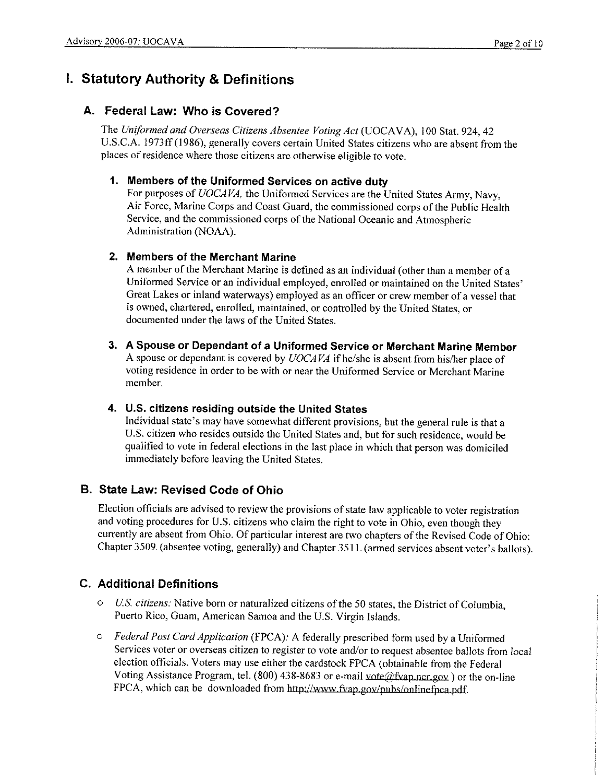# **I. Statutory Authority & Definitions**

# **A. Federal Law: Who is Covered?**

The *Uniformed and Overseas Citizens Absentee Voting Act* (UOCAVA), 100 Stat. 924, 42 U.S.C.A. 1973ff(J986), generally covers certain United States citizens who are absent from the places of residence where those citizens are otherwise eligible to vote.

## **1. Members of the Uniformed Services on active duty**

For purposes of *UOCAVA,* the Uniformed Services are the United States Army, Navy, Air Force, Marine Corps and Coast Guard, the commissioned corps of the Public Health Service, and the commissioned corps of the National Oceanic and Atmospheric Administration (NOAA).

## **2. Members of the Merchant Marine**

A member of the Merchant Marine is defined as an individual ( other than a member of a Uniformed Service or an individual employed, enrolled or maintained on the United States' Great Lakes or inland waterways) employed as an officer or crew member of a vessel that is owned, chartered, enrolled, maintained, or controlled by the United States, or documented under the laws of the United States.

**3. A Spouse or Dependant of a Uniformed Service or Merchant Marine Member**  A spouse or dependant is covered by *UOCA VA* if he/she is absent from his/her place of voting residence in order to be with or near the Uniformed Service or Merchant Marine member.

## **4. U.S. citizens residing outside the United States**

Individual state's may have somewhat different provisions, but the general rule is that a U.S. citizen who resides outside the United States and, but for such residence, would be qualified to vote in federal elections in the last place in which that person was domiciled immediately before leaving the United States.

# **B. State Law: Revised Code of Ohio**

Election officials are advised to review the provisions of state law applicable to voter registration and voting procedures for U.S. citizens who claim the right to vote in Ohio, even though they currently are absent from Ohio. Of particular interest are two chapters of the Revised Code of Ohio: Chapter 3509. (absentee voting, generally) and Chapter 3511. (armed services absent voter's ballots).

# **C. Additional Definitions**

- o *US. citizens:* Native born or naturalized citizens ofthe 50 states, the District of Columbia, Puerto Rico, Guam, American Samoa and the U.S. Virgin Islands.
- o *Federal Post Card Application* (FPCA): A federally prescribed form used by a Uniformed Services voter or overseas citizen to register to vote and/or to request absentee ballots from local election officials. Voters may use either the cardstock FPCA ( obtainable from the Federal Voting Assistance Program, tel. (800) 438-8683 or e-mail vote@fvap.ncr.gov) or the on-line FPCA, which can be downloaded from http://www.fvap.gov/pubs/onlinefpca.pdf.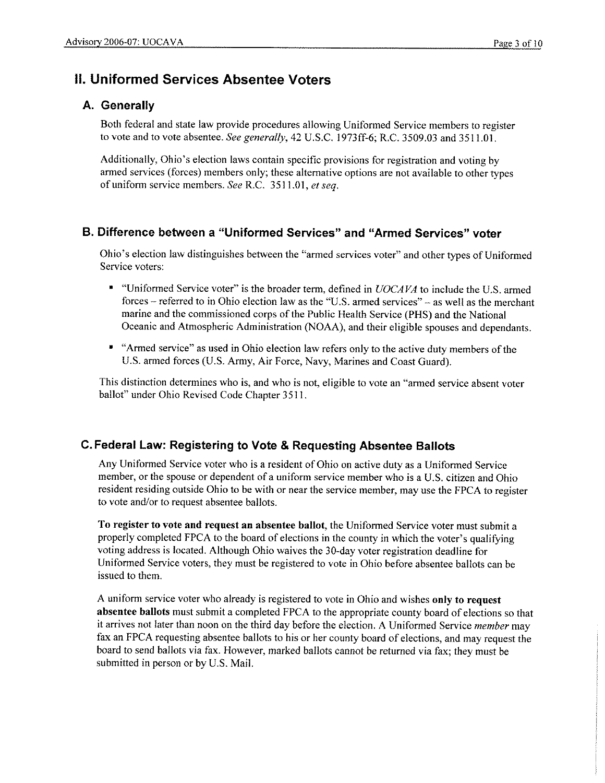# **II. Uniformed Services Absentee Voters**

# **A. Generally**

Both federal and state law provide procedures allowing Uniformed Service members to register to vote and to vote absentee. *See generally*, 42 U.S.C. 1973ff-6; R.C. 3509.03 and 3511.01.

Additionally, Ohio's election laws contain specific provisions for registration and voting by armed services (forces) members only; these alternative options are not available to other types of uniform service members. *See* R.C. 3511.01, *et seq.* 

# **B. Difference between a "Uniformed Services" and "Armed Services" voter**

Ohio's election Jaw distinguishes between the "armed services voter" and other types of Uniformed Service voters:

- "Uniformed Service voter" is the broader term, defined in *UOCAVA* to include the U.S. armed forces - referred to in Ohio election law as the "U.S. armed services" - as well as the merchant marine and the commissioned corps of the Public Health Service (PHS) and the National Oceanic and Atmospheric Administration (NOAA), and their eligible spouses and dependants.
- "Armed service" as used in Ohio election law refers only to the active duty members of the U.S. armed forces (U.S. Army, Air Force, Navy, Marines and Coast Guard).

This distinction determines who is, and who is not, eligible to vote an "armed service absent voter ballot" under Ohio Revised Code Chapter 3511.

# **C. Federal Law: Registering to Vote & Requesting Absentee Ballots**

Any Uniformed Service voter who is a resident of Ohio on active duty as a Uniformed Service member, or the spouse or dependent of a uniform service member who is a U.S. citizen and Ohio resident residing outside Ohio to be with or near the service member, may use the FPCA to register to vote and/or to request absentee ballots.

**To register to vote and request an absentee ballot,** the Uniformed Service voter must submit a properly completed FPCA to the board of elections in the county in which the voter's qualifying voting address is located. Although Ohio waives the 30-day voter registration deadline for Uniformed Service voters, they must be registered to vote in Ohio before absentee ballots can be issued to them.

A uniform service voter who already is registered to vote in Ohio and wishes **only to request absentee ballots** must submit a completed FPCA to the appropriate county board of elections so that it arrives not later than noon on the third day before the election. A Uniformed Service *member* may fax an FPCA requesting absentee ballots to his or her county board of elections, and may request the board to send ballots via fax. However, marked ballots cannot be returned via fax; they must be submitted in person or by U.S. Mail.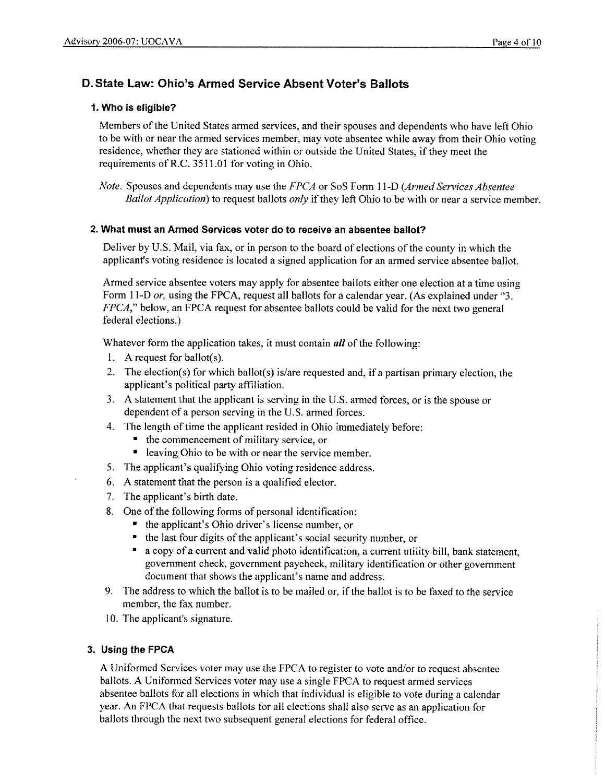# **D. State Law: Ohio's Armed Service Absent Voter's Ballots**

## **1. Who is eligible?**

Members of the United States armed services, and their spouses and dependents who have left Ohio to be with or near the armed services member, may vote absentee while away from their Ohio voting residence, whether they are stationed within or outside the United States, if they meet the requirements of R.C. 3511.01 for voting in Ohio.

*Note:* Spouses and dependents may use the *FPCA* or SoS Form 11-D *(Armed Services Absentee Ballot Application*) to request ballots *only* if they left Ohio to be with or near a service member.

### **2. What must an Armed Services voter do to receive an absentee ballot?**

Deliver by U.S. Mail, via fax, or in person to the board of elections of the county in which the applicant's voting residence is located a signed application for an armed service absentee ballot.

Armed service absentee voters may apply for absentee ballots either one election at a time using Form 11-D *or*, using the FPCA, request all ballots for a calendar year. (As explained under "3. *FPCA,"* below, an FPCA request for absentee ballots could be valid for the next two general federal elections.)

Whatever form the application takes, it must contain *all* of the following:

- I. **A** request for ballot(s).
- 2. The election(s) for which ballot(s) is/are requested and, if a partisan primary election, the applicant's political party affiliation.
- 3. A statement that the applicant is serving in the U.S. armed forces, or is the spouse or dependent of a person serving in the U.S. armed forces.
- 4. The length of time the applicant resided in Ohio immediately before:
	- the commencement of military service, or
	- $\bullet$  leaving Ohio to be with or near the service member.
- 5. The applicant's qualifying Ohio voting residence address.
- 6. A statement that the person is a qualified elector.
- 7. The applicant's birth date.
- 8. One of the following forms of personal identification:
	- the applicant's Ohio driver's license number, or
	- the last four digits of the applicant's social security number, or
	- a copy of a current and valid photo identification, a current utility bill, bank statement, government check, government paycheck, military identification or other government document that shows the applicant's name and address.
- 9. The address to which the ballot is to be mailed or, if the ballot is to be faxed to the service member, the fax number.
- I0. The applicant's signature.

### **3. Using the FPCA**

A Uniformed Services voter may use the FPCA to register to vote and/or to request absentee ballots. A Uniformed Services voter may use a single FPCA to request armed services absentee ballots for all elections in which that individual is eligible to vote during a calendar year. An FPCA that requests ballots for all elections shall also serve as an application for ballots through the next two subsequent general elections for federal office.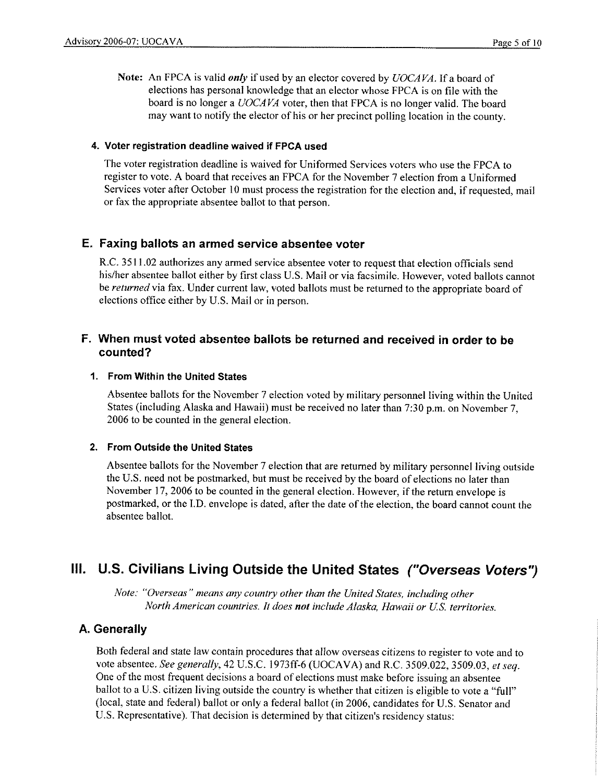**Note:** An FPCA is valid *only* if used by an elector covered by *UOCAVA.* If a board of elections has personal knowledge that an elector whose FPCA is on file with the board is no longer a *UOCAVA* voter, then that FPCA is no longer valid. The board may want to notify the elector of his or her precinct polling location in the county.

#### **4. Voter registration deadline waived if FPCA used**

The voter registration deadline is waived for Uniformed Services voters who use the FPCA to register to vote. A board that receives an FPCA for the November 7 election from a Uniformed Services voter after October IO must process the registration for the election and, if requested, mail or fax the appropriate absentee ballot to that person.

### **E. Faxing ballots an armed service absentee voter**

R.C. 3511.02 authorizes any armed service absentee voter to request that election officials send his/her absentee ballot either by first class U.S. Mail or via facsimile. However, voted ballots cannot be *returned* via fax. Under current law, voted ballots must be returned to the appropriate board of elections office either by U.S. Mail or in person.

## **F. When must voted absentee ballots be returned and received in order to be counted?**

## **1. From Within the United States**

Absentee ballots for the November 7 election voted by military personnel living within the United States (including Alaska and Hawaii) must be received no later than 7:30 p.m. on November 7, 2006 to be counted in the general election.

#### **2. From Outside the United States**

Absentee ballots for the November 7 election that are returned by military personnel living outside the U.S. need not be postmarked, but must be received by the board of elections no later than November 17, 2006 to be counted in the general election. However, if the return envelope is postmarked, or the I.D. envelope is dated, after the date of the election, the board cannot count the absentee ballot.

# **Ill. U.S. Civilians Living Outside the United States ("Overseas Voters'')**

*Note: "Overseas" means any country other than the United States, including other North American countries. It does not include Alaska, Hawaii or US. territories.* 

### **A. Generally**

Both federal and state law contain procedures that allow overseas citizens to register to vote and to vote absentee. *See generally,* 42 U.S.C. 1973ff-6 (UOCAVA) and R.C. 3509.022, 3509.03, *et seq.*  One of the most frequent decisions a board of elections must make before issuing an absentee ballot to a U.S. citizen living outside the country is whether that citizen is eligible to vote a "full" (local, state and federal) ballot or only a federal ballot (in 2006, candidates for U.S. Senator and U.S. Representative). That decision is determined by that citizen's residency status: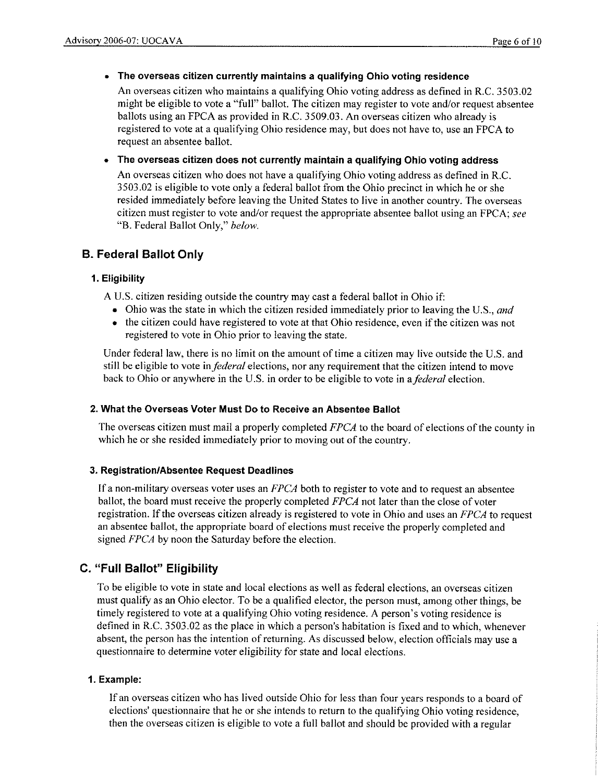### • **The overseas citizen currently maintains a qualifying Ohio voting residence**

An overseas citizen who maintains a qualifying Ohio voting address as defined in R.C. 3503.02 might be eligible to vote a "full" ballot. The citizen may register to vote and/or request absentee ballots using an FPCA as provided in R.C. 3509.03. An overseas citizen who already is registered to vote at a qualifying Ohio residence may, but does not have to, use an FPCA to request an absentee ballot.

## • **The overseas citizen does not currently maintain a qualifying Ohio voting address**

An overseas citizen who does not have a qualifying Ohio voting address as defined in R.C. 3503.02 is eligible to vote only a federal ballot from the Ohio precinct in which he or she resided immediately before leaving the United States to live in another country. The overseas citizen must register to vote and/or request the appropriate absentee ballot using an FPCA; *see*  "B. Federal Ballot Only," *below.* 

# **B. Federal Ballot Only**

## **1. Eligibility**

A U.S. citizen residing outside the country may cast a federal ballot in Ohio if:

- Ohio was the state in which the citizen resided immediately prior to leaving the U.S., *and*
- the citizen could have registered to vote at that Ohio residence, even ifthe citizen was not registered to vote in Ohio prior to leaving the state.

Under federal law, there is no limit on the amount of time a citizen may live outside the U.S. and still be eligible to vote in *federal* elections, nor any requirement that the citizen intend to move back to Ohio or anywhere in the U.S. in order to be eligible to vote in a*federal* election.

### **2. What the Overseas Voter Must Do to Receive an Absentee Ballot**

The overseas citizen must mail a properly completed *FPCA* to the board of elections of the county in which he or she resided immediately prior to moving out of the country.

### **3. Registration/Absentee Request Deadlines**

If a non-military overseas voter uses an *FPCA* both to register to vote and to request an absentee ballot, the board must receive the properly completed *FPCA* not later than the close of voter registration. If the overseas citizen already is registered to vote in Ohio and uses an *FPCA* to request an absentee ballot, the appropriate hoard of elections must receive the properly completed and signed *FPCA* by noon the Saturday before the election.

# **C. "Full Ballot" Eligibility**

To be eligible to vote in state and local elections as well as federal elections, an overseas citizen must qualify as an Ohio elector. To be a qualified elector, the person must, among other things, be timely registered to vote at a qualifying Ohio voting residence. A person's voting residence is defined in R.C. 3503.02 as the place in which a person's habitation is fixed and to which, whenever absent, the person has the intention of returning. As discussed below, election officials may use a questionnaire to determine voter eligibility for state and local elections.

## **1. Example:**

If an overseas citizen who has lived outside Ohio for less than four years responds to a board of elections' questionnaire that he or she intends to return to the qualifying Ohio voting residence, then the overseas citizen is eligible to vote a full ballot and should be provided with a regular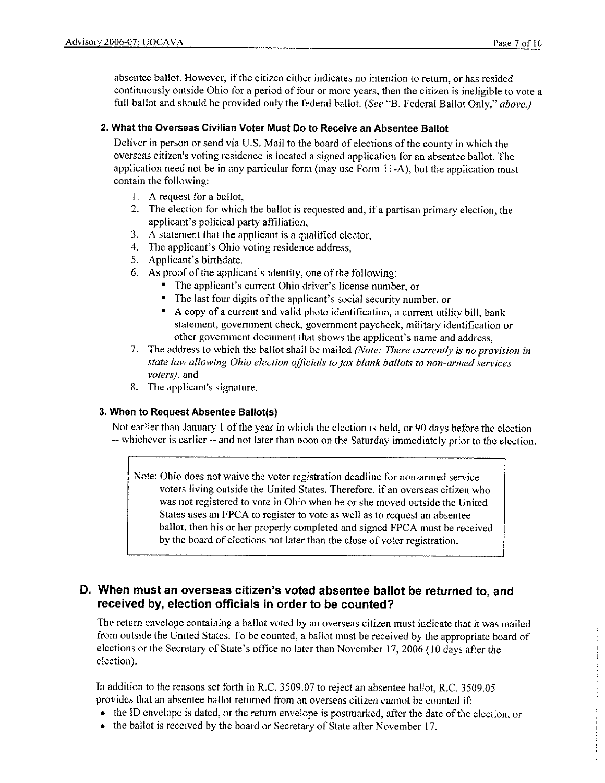absentee ballot. However, if the citizen either indicates no intention to return, or has resided continuously outside Ohio for a period of four or more years, then the citizen is ineligible to vote a full ballot and should be provided only the federal ballot. *(See* "B. Federal Ballot Only," *above.)* 

### **2. What the Overseas Civilian Voter Must Do to Receive an Absentee Ballot**

Deliver in person or send via U.S. Mail to the board of elections of the county in which the overseas citizen's voting residence is located a signed application for an absentee ballot. The application need not be in any particular form (may use Form 11-A), but the application must contain the following:

- 1. A request for a ballot,
- 2. The election for which the ballot is requested and, if a partisan primary election, the applicant's political party affiliation,
- 3. A statement that the applicant is a qualified elector,
- 4. The applicant's Ohio voting residence address,
- 5. Applicant's birthdate.
- 6. As proof of the applicant's identity, one of the following:
	- The applicant's current Ohio driver's license number, or
	- The last four digits of the applicant's social security number, or
	- A copy of a current and valid photo identification, a current utility bill, bank statement, government check, government paycheck, military identification or other government document that shows the applicant's name and address,
- 7. The address to which the ballot shall be mailed *(Note: There currently is no provision in state law allowing Ohio election officials to fax blank ballots to non-armed services voters),* and
- 8. The applicant's signature.

### **3. When to Request Absentee Ballot(s)**

Not earlier than January I of the year in which the election is held, or 90 days before the election -- whichever is earlier -- and not later than noon on the Saturday immediately prior to the election.

Note: Ohio does not waive the voter registration deadline for non-armed service voters living outside the United States. Therefore, if an overseas citizen who was not registered to vote in Ohio when he or she moved outside the United States uses an FPCA to register to vote as well as to request an absentee ballot, then his or her properly completed and signed FPCA must be received by the board of elections not later than the close of voter registration.

# **D. When must an overseas citizen's voted absentee ballot be returned to, and received by, election officials in order to be counted?**

The return envelope containing a ballot voted by an overseas citizen must indicate that it was mailed from outside the United States. To be counted, a ballot must be received by the appropriate board of elections or the Secretary of State's office no later than November 17, 2006 (] 0 days after the election).

In addition to the reasons set forth in R.C. 3509.07 to reject an absentee ballot, R.C. 3509.05 provides that an absentee ballot returned from an overseas citizen cannot be counted if:

- the ID envelope is dated, or the return envelope is postmarked, after the date of the election, or
- the ballot is received by the board or Secretary of State after November 17.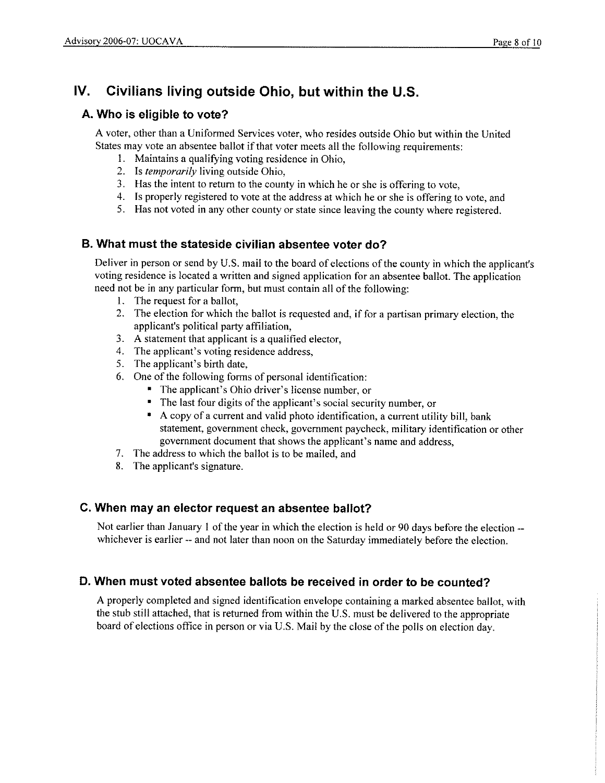# **IV. Civilians living outside Ohio, but within the U.S.**

# **A. Who is eligible to vote?**

A voter, other than a Unifonned Services voter, who resides outside Ohio but within the United States may vote an absentee ballot if that voter meets all the following requirements:

- I. Maintains a qualifying voting residence in Ohio,
- 2. Is *temporarily* living outside Ohio,
- 3. Has the intent to return to the county in which he or she is offering to vote,
- 4. Is properly registered to vote at the address at which he or she is offering to vote, and
- 5. Has not voted in any other county or state since leaving the county where registered.

# **B. What must the stateside civilian absentee voter do?**

Deliver in person or send by U.S. mail to the board of elections of the county in which the applicant's voting residence is located a written and signed application for an absentee ballot. The application need not be in any particular form, but must contain all of the following:

- I. The request for a ballot,
- 2. The election for which the ballot is requested and, if for a partisan primary election, the applicant's political party affiliation,
- 3. A statement that applicant is a qualified elector,
- 4. The applicant's voting residence address,
- 5. The applicant's birth date,
- 6. One of the following fonns of personal identification:
	- The applicant's Ohio driver's license number, or
	- The last four digits of the applicant's social security number, or
	- A copy of a current and valid photo identification, a current utility bill, hank statement, government check, government paycheck, military identification or other government document that shows the applicant's name and address,
- 7. The address to which the ballot is to be mailed, and
- 8. The applicant's signature.

# **C. When may an elector request an absentee ballot?**

Not earlier than January 1 of the year in which the election is held or 90 days before the election -whichever is earlier -- and not later than noon on the Saturday immediately before the election.

# **D. When must voted absentee ballots be received in order to be counted?**

A properly completed and signed identification envelope containing a marked absentee ballot, with the stub still attached, that is returned from within the U.S. must be delivered to the appropriate board of elections office in person or via U.S. Mail by the close of the polls on election day.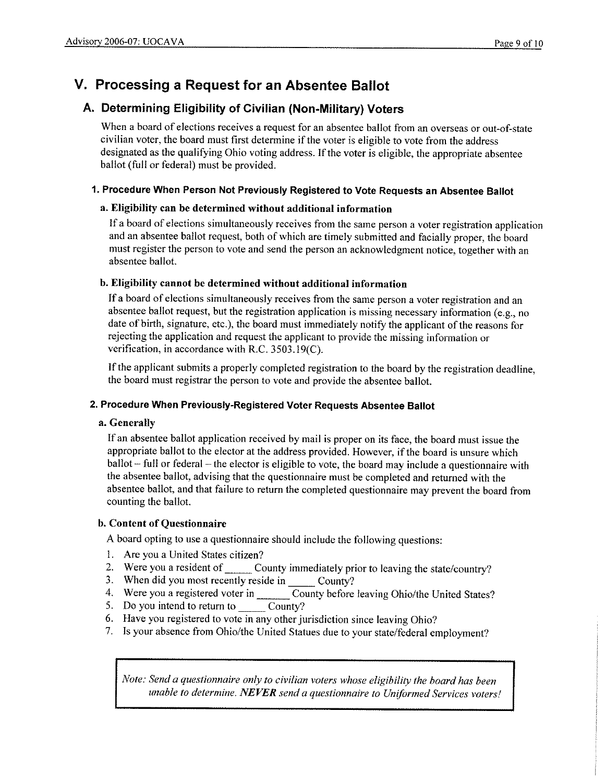# **V. Processing a Request for an Absentee Ballot**

# **A. Determining Eligibility of Civilian (Non-Military) Voters**

When a board of elections receives a request for an absentee ballot from an overseas or out-of-state civilian voter, the board must first determine if the voter is eligible to vote from the address designated as the qualifying Ohio voting address. If the voter is eligible, the appropriate absentee ballot (full or federal) must be provided.

## **1. Procedure When Person Not Previously Registered to Vote Requests an Absentee Ballot**

## **a. Eligibility can be determined without additional information**

If a board of elections simultaneously receives from the same person a voter registration application and an absentee ballot request, both of which are timely submitted and facially proper, the board must register the person to vote and send the person an acknowledgment notice, together with an absentee ballot.

## **b. Eligibility cannot be determined without additional information**

If a board of elections simultaneously receives from the same person a voter registration and an absentee ballot request, but the registration application is missing necessary information (e.g., no date of birth, signature, etc.), the board must immediately notify the applicant of the reasons for rejecting the application and request the applicant to provide the missing information or verification, in accordance with R.C. 3503.19(C).

If the applicant submits a properly completed registration to the board by the registration deadline, the board must registrar the person to vote and provide the absentee ballot.

### **2. Procedure When Previously-Registered Voter Requests Absentee Ballot**

### **a. Generally**

If an absentee ballot application received by mail is proper on its face, the board must issue the appropriate ballot to the elector at the address provided. However, if the board is unsure which ballot – full or federal – the elector is eligible to vote, the board may include a questionnaire with the absentee ballot, advising that the questionnaire must be completed and returned with the absentee ballot, and that failure to return the completed questionnaire may prevent the board from counting the ballot.

### **b. Content of Questionnaire**

A board opting to use a questionnaire should include the following questions:

- I. Are you a United States citizen?
- 1. Are you a United States citizen?<br>2. Were you a resident of \_\_\_\_\_\_\_\_ County immediately prior to leaving the state/country?
- 2. Were you a resident of County immediately pri<br>3. When did you most recently reside in County?
- 3. When did you most recently reside in  $\frac{1}{\text{County}}$  County?<br>
4. Were you a registered voter in  $\frac{1}{\text{County}}$  County before leaving Ohio/the United States?<br>
5. Do you intend to return to
- 5. Do you intend to return to
- 6. Have you registered to vote in any other jurisdiction since leaving Ohio?
- 7. Is your absence from Ohio/the United Statues due to your state/federal employment?

*Note: Send a questionnaire only to civilian voters whose eligibility the board has been unable to determine. NEVER send a questionnaire to Uniformed Services voters!*